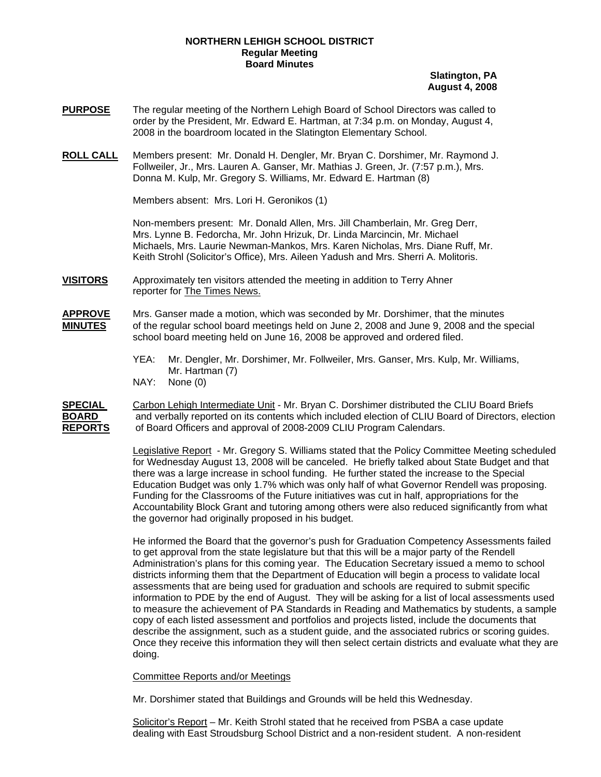# **NORTHERN LEHIGH SCHOOL DISTRICT Regular Meeting Board Minutes**

# **Slatington, PA August 4, 2008**

- **PURPOSE** The regular meeting of the Northern Lehigh Board of School Directors was called to order by the President, Mr. Edward E. Hartman, at 7:34 p.m. on Monday, August 4, 2008 in the boardroom located in the Slatington Elementary School.
- **ROLL CALL** Members present: Mr. Donald H. Dengler, Mr. Bryan C. Dorshimer, Mr. Raymond J. Follweiler, Jr., Mrs. Lauren A. Ganser, Mr. Mathias J. Green, Jr. (7:57 p.m.), Mrs. Donna M. Kulp, Mr. Gregory S. Williams, Mr. Edward E. Hartman (8)

Members absent: Mrs. Lori H. Geronikos (1)

Non-members present: Mr. Donald Allen, Mrs. Jill Chamberlain, Mr. Greg Derr, Mrs. Lynne B. Fedorcha, Mr. John Hrizuk, Dr. Linda Marcincin, Mr. Michael Michaels, Mrs. Laurie Newman-Mankos, Mrs. Karen Nicholas, Mrs. Diane Ruff, Mr. Keith Strohl (Solicitor's Office), Mrs. Aileen Yadush and Mrs. Sherri A. Molitoris.

**VISITORS** Approximately ten visitors attended the meeting in addition to Terry Ahner reporter for The Times News.

**APPROVE** Mrs. Ganser made a motion, which was seconded by Mr. Dorshimer, that the minutes **MINUTES** of the regular school board meetings held on June 2, 2008 and June 9, 2008 and the special school board meeting held on June 16, 2008 be approved and ordered filed.

- YEA: Mr. Dengler, Mr. Dorshimer, Mr. Follweiler, Mrs. Ganser, Mrs. Kulp, Mr. Williams, Mr. Hartman (7) NAY: None (0)
- **SPECIAL** Carbon Lehigh Intermediate Unit Mr. Bryan C. Dorshimer distributed the CLIU Board Briefs **BOARD** and verbally reported on its contents which included election of CLIU Board of Directors, election **REPORTS** of Board Officers and approval of 2008-2009 CLIU Program Calendars.

Legislative Report - Mr. Gregory S. Williams stated that the Policy Committee Meeting scheduled for Wednesday August 13, 2008 will be canceled. He briefly talked about State Budget and that there was a large increase in school funding. He further stated the increase to the Special Education Budget was only 1.7% which was only half of what Governor Rendell was proposing. Funding for the Classrooms of the Future initiatives was cut in half, appropriations for the Accountability Block Grant and tutoring among others were also reduced significantly from what the governor had originally proposed in his budget.

He informed the Board that the governor's push for Graduation Competency Assessments failed to get approval from the state legislature but that this will be a major party of the Rendell Administration's plans for this coming year. The Education Secretary issued a memo to school districts informing them that the Department of Education will begin a process to validate local assessments that are being used for graduation and schools are required to submit specific information to PDE by the end of August. They will be asking for a list of local assessments used to measure the achievement of PA Standards in Reading and Mathematics by students, a sample copy of each listed assessment and portfolios and projects listed, include the documents that describe the assignment, such as a student guide, and the associated rubrics or scoring guides. Once they receive this information they will then select certain districts and evaluate what they are doing.

## Committee Reports and/or Meetings

Mr. Dorshimer stated that Buildings and Grounds will be held this Wednesday.

Solicitor's Report – Mr. Keith Strohl stated that he received from PSBA a case update dealing with East Stroudsburg School District and a non-resident student. A non-resident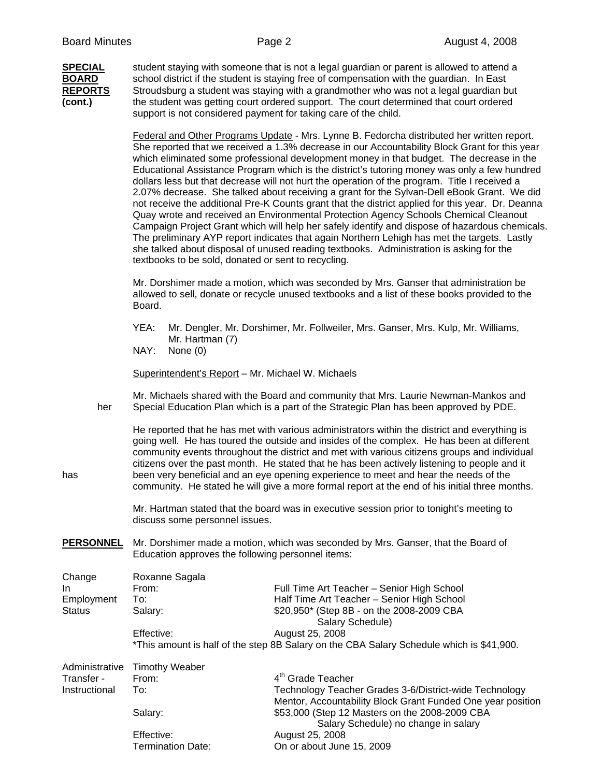| <b>SPECIAL</b> |
|----------------|
| <b>BOARD</b>   |
| <b>REPORTS</b> |
| (cont.)        |

**SPECIAL** student staying with someone that is not a legal guardian or parent is allowed to attend a school district if the student is staying free of compensation with the guardian. In East **REPORTS** Stroudsburg a student was staying with a grandmother who was not a legal guardian but **(cont.)** the student was getting court ordered support. The court determined that court ordered support is not considered payment for taking care of the child.

Federal and Other Programs Update - Mrs. Lynne B. Fedorcha distributed her written report. She reported that we received a 1.3% decrease in our Accountability Block Grant for this year which eliminated some professional development money in that budget. The decrease in the Educational Assistance Program which is the district's tutoring money was only a few hundred dollars less but that decrease will not hurt the operation of the program. Title I received a 2.07% decrease. She talked about receiving a grant for the Sylvan-Dell eBook Grant. We did not receive the additional Pre-K Counts grant that the district applied for this year. Dr. Deanna Quay wrote and received an Environmental Protection Agency Schools Chemical Cleanout Campaign Project Grant which will help her safely identify and dispose of hazardous chemicals. The preliminary AYP report indicates that again Northern Lehigh has met the targets. Lastly she talked about disposal of unused reading textbooks. Administration is asking for the textbooks to be sold, donated or sent to recycling.

Mr. Dorshimer made a motion, which was seconded by Mrs. Ganser that administration be allowed to sell, donate or recycle unused textbooks and a list of these books provided to the Board.

 YEA: Mr. Dengler, Mr. Dorshimer, Mr. Follweiler, Mrs. Ganser, Mrs. Kulp, Mr. Williams, Mr. Hartman (7)

NAY: None (0)

Superintendent's Report – Mr. Michael W. Michaels

Mr. Michaels shared with the Board and community that Mrs. Laurie Newman-Mankos and her Special Education Plan which is a part of the Strategic Plan has been approved by PDE.

 He reported that he has met with various administrators within the district and everything is going well. He has toured the outside and insides of the complex. He has been at different community events throughout the district and met with various citizens groups and individual citizens over the past month. He stated that he has been actively listening to people and it has been very beneficial and an eye opening experience to meet and hear the needs of the community. He stated he will give a more formal report at the end of his initial three months.

> Mr. Hartman stated that the board was in executive session prior to tonight's meeting to discuss some personnel issues.

**PERSONNEL** Mr. Dorshimer made a motion, which was seconded by Mrs. Ganser, that the Board of Education approves the following personnel items:

| Change         | Roxanne Sagala                                                                           |                                                               |  |  |  |
|----------------|------------------------------------------------------------------------------------------|---------------------------------------------------------------|--|--|--|
| In.            | From:                                                                                    | Full Time Art Teacher - Senior High School                    |  |  |  |
| Employment     | To:                                                                                      | Half Time Art Teacher - Senior High School                    |  |  |  |
| <b>Status</b>  | Salary:                                                                                  | \$20,950* (Step 8B - on the 2008-2009 CBA<br>Salary Schedule) |  |  |  |
|                | Effective:                                                                               | August 25, 2008                                               |  |  |  |
|                | *This amount is half of the step 8B Salary on the CBA Salary Schedule which is \$41,900. |                                                               |  |  |  |
| Administrative | <b>Timothy Weaber</b>                                                                    |                                                               |  |  |  |
| Transfer -     | From:                                                                                    | $4m$ Grade Teacher                                            |  |  |  |
| Instructional  | To:                                                                                      | Technology Teacher Grades 3-6/District-wide Technology        |  |  |  |
|                |                                                                                          | Mentor, Accountability Block Grant Funded One year position   |  |  |  |
|                | Salary:                                                                                  | \$53,000 (Step 12 Masters on the 2008-2009 CBA                |  |  |  |
|                |                                                                                          | Salary Schedule) no change in salary                          |  |  |  |
|                | Effective:                                                                               | August 25, 2008                                               |  |  |  |
|                | <b>Termination Date:</b>                                                                 | On or about June 15, 2009                                     |  |  |  |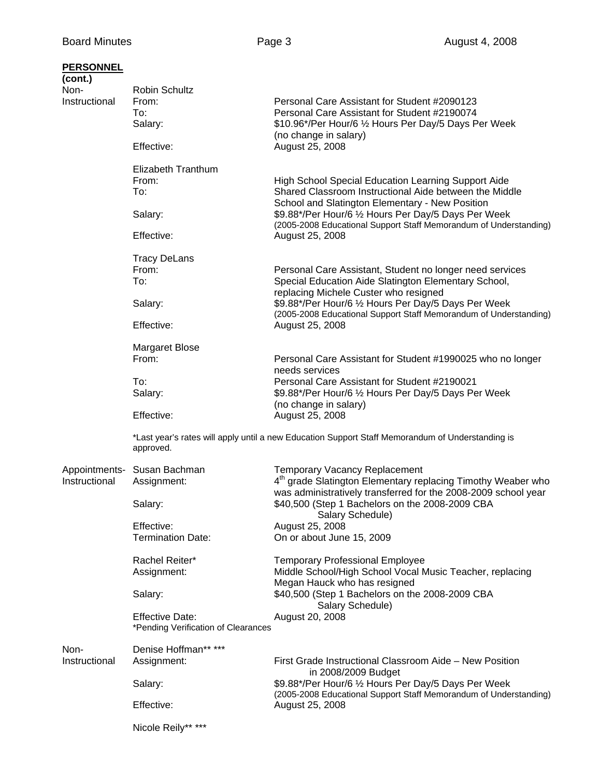| <b>PERSONNEL</b><br>(cont.)<br>Non- | <b>Robin Schultz</b>                                          |                                                                                                                                            |  |
|-------------------------------------|---------------------------------------------------------------|--------------------------------------------------------------------------------------------------------------------------------------------|--|
| Instructional                       | From:                                                         | Personal Care Assistant for Student #2090123                                                                                               |  |
|                                     |                                                               | Personal Care Assistant for Student #2190074                                                                                               |  |
|                                     | To:<br>Salary:                                                | \$10.96*/Per Hour/6 1/2 Hours Per Day/5 Days Per Week<br>(no change in salary)                                                             |  |
|                                     | Effective:                                                    | August 25, 2008                                                                                                                            |  |
|                                     | Elizabeth Tranthum<br>From:                                   | <b>High School Special Education Learning Support Aide</b>                                                                                 |  |
|                                     | To:                                                           | Shared Classroom Instructional Aide between the Middle<br>School and Slatington Elementary - New Position                                  |  |
|                                     | Salary:                                                       | \$9.88*/Per Hour/6 1/2 Hours Per Day/5 Days Per Week<br>(2005-2008 Educational Support Staff Memorandum of Understanding)                  |  |
|                                     | Effective:                                                    | August 25, 2008                                                                                                                            |  |
|                                     | <b>Tracy DeLans</b>                                           |                                                                                                                                            |  |
|                                     | From:                                                         | Personal Care Assistant, Student no longer need services                                                                                   |  |
|                                     | To:                                                           | Special Education Aide Slatington Elementary School,<br>replacing Michele Custer who resigned                                              |  |
|                                     | Salary:                                                       | \$9.88*/Per Hour/6 1/2 Hours Per Day/5 Days Per Week<br>(2005-2008 Educational Support Staff Memorandum of Understanding)                  |  |
|                                     | Effective:                                                    | August 25, 2008                                                                                                                            |  |
|                                     | <b>Margaret Blose</b>                                         |                                                                                                                                            |  |
|                                     | From:                                                         | Personal Care Assistant for Student #1990025 who no longer<br>needs services                                                               |  |
|                                     | To:                                                           | Personal Care Assistant for Student #2190021                                                                                               |  |
|                                     | Salary:                                                       | \$9.88*/Per Hour/6 1/2 Hours Per Day/5 Days Per Week                                                                                       |  |
|                                     |                                                               | (no change in salary)                                                                                                                      |  |
|                                     | Effective:                                                    | August 25, 2008                                                                                                                            |  |
|                                     | approved.                                                     | *Last year's rates will apply until a new Education Support Staff Memorandum of Understanding is                                           |  |
|                                     | Appointments- Susan Bachman                                   | Temporary Vacancy Replacement                                                                                                              |  |
| Instructional                       | Assignment:                                                   | 4 <sup>th</sup> grade Slatington Elementary replacing Timothy Weaber who<br>was administratively transferred for the 2008-2009 school year |  |
|                                     | Salary:                                                       | \$40,500 (Step 1 Bachelors on the 2008-2009 CBA<br>Salary Schedule)                                                                        |  |
|                                     | Effective:                                                    | August 25, 2008                                                                                                                            |  |
|                                     | <b>Termination Date:</b>                                      | On or about June 15, 2009                                                                                                                  |  |
|                                     | Rachel Reiter*                                                | <b>Temporary Professional Employee</b>                                                                                                     |  |
|                                     | Assignment:                                                   | Middle School/High School Vocal Music Teacher, replacing<br>Megan Hauck who has resigned                                                   |  |
|                                     | Salary:                                                       | \$40,500 (Step 1 Bachelors on the 2008-2009 CBA<br>Salary Schedule)                                                                        |  |
|                                     | <b>Effective Date:</b><br>*Pending Verification of Clearances | August 20, 2008                                                                                                                            |  |
| Non-                                | Denise Hoffman** ***                                          |                                                                                                                                            |  |
| Instructional                       | Assignment:                                                   | First Grade Instructional Classroom Aide - New Position<br>in 2008/2009 Budget                                                             |  |
|                                     | Salary:                                                       | \$9.88*/Per Hour/6 1/2 Hours Per Day/5 Days Per Week                                                                                       |  |
|                                     | Effective:                                                    | (2005-2008 Educational Support Staff Memorandum of Understanding)<br>August 25, 2008                                                       |  |
|                                     | Nicole Reily** ***                                            |                                                                                                                                            |  |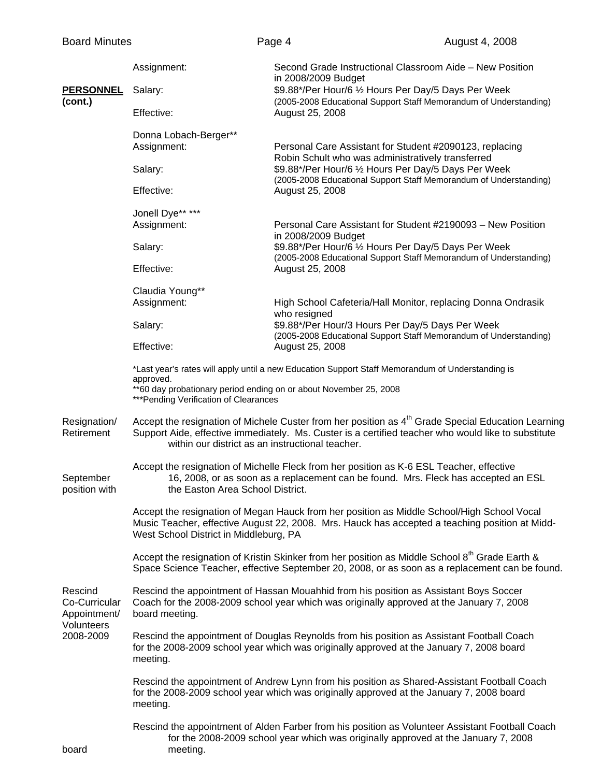|                                                                     | Assignment:                                                                                                                                                                                                                                                               | Second Grade Instructional Classroom Aide - New Position<br>in 2008/2009 Budget                                                                                                                  |  |  |  |  |
|---------------------------------------------------------------------|---------------------------------------------------------------------------------------------------------------------------------------------------------------------------------------------------------------------------------------------------------------------------|--------------------------------------------------------------------------------------------------------------------------------------------------------------------------------------------------|--|--|--|--|
| <b>PERSONNEL</b><br>(cont.)                                         | Salary:                                                                                                                                                                                                                                                                   | \$9.88*/Per Hour/6 1/2 Hours Per Day/5 Days Per Week<br>(2005-2008 Educational Support Staff Memorandum of Understanding)                                                                        |  |  |  |  |
|                                                                     | Effective:                                                                                                                                                                                                                                                                | August 25, 2008                                                                                                                                                                                  |  |  |  |  |
|                                                                     | Donna Lobach-Berger**<br>Assignment:                                                                                                                                                                                                                                      | Personal Care Assistant for Student #2090123, replacing                                                                                                                                          |  |  |  |  |
|                                                                     | Salary:                                                                                                                                                                                                                                                                   | Robin Schult who was administratively transferred<br>\$9.88*/Per Hour/6 1/2 Hours Per Day/5 Days Per Week<br>(2005-2008 Educational Support Staff Memorandum of Understanding)                   |  |  |  |  |
|                                                                     | Effective:                                                                                                                                                                                                                                                                | August 25, 2008                                                                                                                                                                                  |  |  |  |  |
|                                                                     | Jonell Dye** ***                                                                                                                                                                                                                                                          |                                                                                                                                                                                                  |  |  |  |  |
|                                                                     | Assignment:                                                                                                                                                                                                                                                               | Personal Care Assistant for Student #2190093 - New Position<br>in 2008/2009 Budget                                                                                                               |  |  |  |  |
|                                                                     | Salary:                                                                                                                                                                                                                                                                   | \$9.88*/Per Hour/6 1/2 Hours Per Day/5 Days Per Week<br>(2005-2008 Educational Support Staff Memorandum of Understanding)                                                                        |  |  |  |  |
|                                                                     | Effective:                                                                                                                                                                                                                                                                | August 25, 2008                                                                                                                                                                                  |  |  |  |  |
|                                                                     | Claudia Young**                                                                                                                                                                                                                                                           |                                                                                                                                                                                                  |  |  |  |  |
|                                                                     | Assignment:                                                                                                                                                                                                                                                               | High School Cafeteria/Hall Monitor, replacing Donna Ondrasik<br>who resigned                                                                                                                     |  |  |  |  |
|                                                                     | Salary:                                                                                                                                                                                                                                                                   | \$9.88*/Per Hour/3 Hours Per Day/5 Days Per Week<br>(2005-2008 Educational Support Staff Memorandum of Understanding)                                                                            |  |  |  |  |
|                                                                     | Effective:                                                                                                                                                                                                                                                                | August 25, 2008                                                                                                                                                                                  |  |  |  |  |
|                                                                     | *Last year's rates will apply until a new Education Support Staff Memorandum of Understanding is<br>approved.                                                                                                                                                             |                                                                                                                                                                                                  |  |  |  |  |
|                                                                     | **60 day probationary period ending on or about November 25, 2008<br>*** Pending Verification of Clearances                                                                                                                                                               |                                                                                                                                                                                                  |  |  |  |  |
| Resignation/<br>Retirement                                          | Accept the resignation of Michele Custer from her position as 4 <sup>th</sup> Grade Special Education Learning<br>Support Aide, effective immediately. Ms. Custer is a certified teacher who would like to substitute<br>within our district as an instructional teacher. |                                                                                                                                                                                                  |  |  |  |  |
| September<br>position with                                          | the Easton Area School District.                                                                                                                                                                                                                                          | Accept the resignation of Michelle Fleck from her position as K-6 ESL Teacher, effective<br>16, 2008, or as soon as a replacement can be found. Mrs. Fleck has accepted an ESL                   |  |  |  |  |
|                                                                     | Accept the resignation of Megan Hauck from her position as Middle School/High School Vocal<br>Music Teacher, effective August 22, 2008. Mrs. Hauck has accepted a teaching position at Midd-<br>West School District in Middleburg, PA                                    |                                                                                                                                                                                                  |  |  |  |  |
|                                                                     |                                                                                                                                                                                                                                                                           | Accept the resignation of Kristin Skinker from her position as Middle School 8th Grade Earth &<br>Space Science Teacher, effective September 20, 2008, or as soon as a replacement can be found. |  |  |  |  |
| Rescind<br>Co-Curricular<br>Appointment/<br>Volunteers<br>2008-2009 | Rescind the appointment of Hassan Mouahhid from his position as Assistant Boys Soccer<br>Coach for the 2008-2009 school year which was originally approved at the January 7, 2008<br>board meeting.                                                                       |                                                                                                                                                                                                  |  |  |  |  |
|                                                                     | Rescind the appointment of Douglas Reynolds from his position as Assistant Football Coach<br>for the 2008-2009 school year which was originally approved at the January 7, 2008 board<br>meeting.                                                                         |                                                                                                                                                                                                  |  |  |  |  |
|                                                                     | Rescind the appointment of Andrew Lynn from his position as Shared-Assistant Football Coach<br>for the 2008-2009 school year which was originally approved at the January 7, 2008 board<br>meeting.                                                                       |                                                                                                                                                                                                  |  |  |  |  |
| board                                                               | meeting.                                                                                                                                                                                                                                                                  | Rescind the appointment of Alden Farber from his position as Volunteer Assistant Football Coach<br>for the 2008-2009 school year which was originally approved at the January 7, 2008            |  |  |  |  |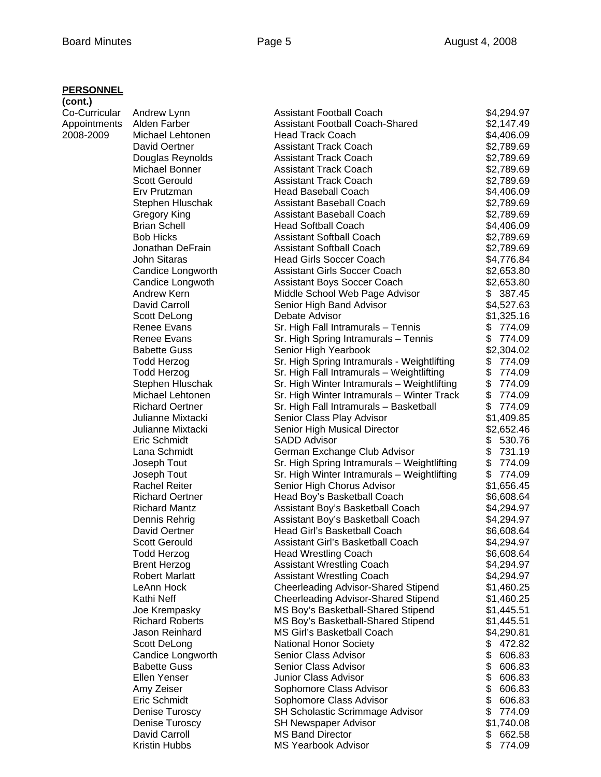#### **PERSONNEL**

| (cont.)       |                                         |                                                                       |                            |
|---------------|-----------------------------------------|-----------------------------------------------------------------------|----------------------------|
| Co-Curricular | Andrew Lynn                             | <b>Assistant Football Coach</b>                                       | \$4,294.97                 |
| Appointments  | Alden Farber                            | <b>Assistant Football Coach-Shared</b>                                | \$2,147.49                 |
| 2008-2009     | Michael Lehtonen                        | <b>Head Track Coach</b>                                               | \$4,406.09                 |
|               | David Oertner                           | <b>Assistant Track Coach</b>                                          | \$2,789.69                 |
|               | Douglas Reynolds                        | <b>Assistant Track Coach</b>                                          | \$2,789.69                 |
|               | Michael Bonner                          | <b>Assistant Track Coach</b>                                          | \$2,789.69                 |
|               | <b>Scott Gerould</b>                    | <b>Assistant Track Coach</b>                                          | \$2,789.69                 |
|               | Erv Prutzman                            | <b>Head Baseball Coach</b><br>Assistant Baseball Coach                | \$4,406.09                 |
|               | Stephen Hluschak<br>Gregory King        | Assistant Baseball Coach                                              | \$2,789.69<br>\$2,789.69   |
|               | <b>Brian Schell</b>                     | <b>Head Softball Coach</b>                                            | \$4,406.09                 |
|               | <b>Bob Hicks</b>                        | <b>Assistant Softball Coach</b>                                       | \$2,789.69                 |
|               | Jonathan DeFrain                        | <b>Assistant Softball Coach</b>                                       | \$2,789.69                 |
|               | <b>John Sitaras</b>                     | <b>Head Girls Soccer Coach</b>                                        | \$4,776.84                 |
|               | Candice Longworth                       | <b>Assistant Girls Soccer Coach</b>                                   | \$2,653.80                 |
|               | Candice Longwoth                        | <b>Assistant Boys Soccer Coach</b>                                    | \$2,653.80                 |
|               | Andrew Kern                             | Middle School Web Page Advisor                                        | \$387.45                   |
|               | David Carroll                           | Senior High Band Advisor                                              | \$4,527.63                 |
|               | Scott DeLong                            | Debate Advisor                                                        | \$1,325.16                 |
|               | <b>Renee Evans</b>                      | Sr. High Fall Intramurals - Tennis                                    | \$<br>774.09               |
|               | <b>Renee Evans</b>                      | Sr. High Spring Intramurals - Tennis                                  | \$<br>774.09               |
|               | <b>Babette Guss</b>                     | Senior High Yearbook                                                  | \$2,304.02                 |
|               | <b>Todd Herzog</b>                      | Sr. High Spring Intramurals - Weightlifting                           | 774.09<br>\$               |
|               | <b>Todd Herzog</b>                      | Sr. High Fall Intramurals - Weightlifting                             | \$<br>774.09               |
|               | Stephen Hluschak                        | Sr. High Winter Intramurals - Weightlifting                           | \$<br>774.09               |
|               | Michael Lehtonen                        | Sr. High Winter Intramurals - Winter Track                            | \$<br>774.09               |
|               | <b>Richard Oertner</b>                  | Sr. High Fall Intramurals - Basketball                                | \$<br>774.09               |
|               | Julianne Mixtacki                       | Senior Class Play Advisor                                             | \$1,409.85                 |
|               | Julianne Mixtacki                       | Senior High Musical Director                                          | \$2,652.46                 |
|               | Eric Schmidt                            | <b>SADD Advisor</b>                                                   | \$<br>530.76               |
|               | Lana Schmidt                            | German Exchange Club Advisor                                          | \$<br>731.19               |
|               | Joseph Tout                             | Sr. High Spring Intramurals - Weightlifting                           | \$<br>774.09               |
|               | Joseph Tout                             | Sr. High Winter Intramurals - Weightlifting                           | \$<br>774.09               |
|               | <b>Rachel Reiter</b>                    | Senior High Chorus Advisor                                            | \$1,656.45                 |
|               | <b>Richard Oertner</b>                  | Head Boy's Basketball Coach                                           | \$6,608.64                 |
|               | <b>Richard Mantz</b>                    | Assistant Boy's Basketball Coach                                      | \$4,294.97                 |
|               | Dennis Rehrig                           | Assistant Boy's Basketball Coach                                      | \$4,294.97                 |
|               | David Oertner                           | Head Girl's Basketball Coach                                          | \$6,608.64                 |
|               | <b>Scott Gerould</b>                    | Assistant Girl's Basketball Coach                                     | \$4,294.97                 |
|               | <b>Todd Herzog</b>                      | <b>Head Wrestling Coach</b>                                           | \$6,608.64                 |
|               | <b>Brent Herzog</b>                     | <b>Assistant Wrestling Coach</b>                                      | \$4,294.97                 |
|               | <b>Robert Marlatt</b>                   | <b>Assistant Wrestling Coach</b>                                      | \$4,294.97                 |
|               | LeAnn Hock                              | <b>Cheerleading Advisor-Shared Stipend</b>                            | \$1,460.25                 |
|               | Kathi Neff                              | <b>Cheerleading Advisor-Shared Stipend</b>                            | \$1,460.25                 |
|               | Joe Krempasky                           | MS Boy's Basketball-Shared Stipend                                    | \$1,445.51                 |
|               | <b>Richard Roberts</b>                  | MS Boy's Basketball-Shared Stipend                                    | \$1,445.51                 |
|               | Jason Reinhard                          | <b>MS Girl's Basketball Coach</b>                                     | \$4,290.81                 |
|               | Scott DeLong                            | <b>National Honor Society</b>                                         | \$<br>472.82               |
|               | Candice Longworth                       | Senior Class Advisor                                                  | \$<br>606.83               |
|               | <b>Babette Guss</b>                     | Senior Class Advisor                                                  | \$<br>606.83               |
|               | Ellen Yenser                            | <b>Junior Class Advisor</b>                                           | \$<br>606.83<br>\$         |
|               | Amy Zeiser                              | Sophomore Class Advisor                                               | 606.83<br>\$               |
|               | Eric Schmidt                            | Sophomore Class Advisor                                               | 606.83                     |
|               | <b>Denise Turoscy</b><br>Denise Turoscy | <b>SH Scholastic Scrimmage Advisor</b><br><b>SH Newspaper Advisor</b> | \$<br>774.09<br>\$1,740.08 |
|               | David Carroll                           | <b>MS Band Director</b>                                               | \$<br>662.58               |
|               | Kristin Hubbs                           | <b>MS Yearbook Advisor</b>                                            | \$<br>774.09               |
|               |                                         |                                                                       |                            |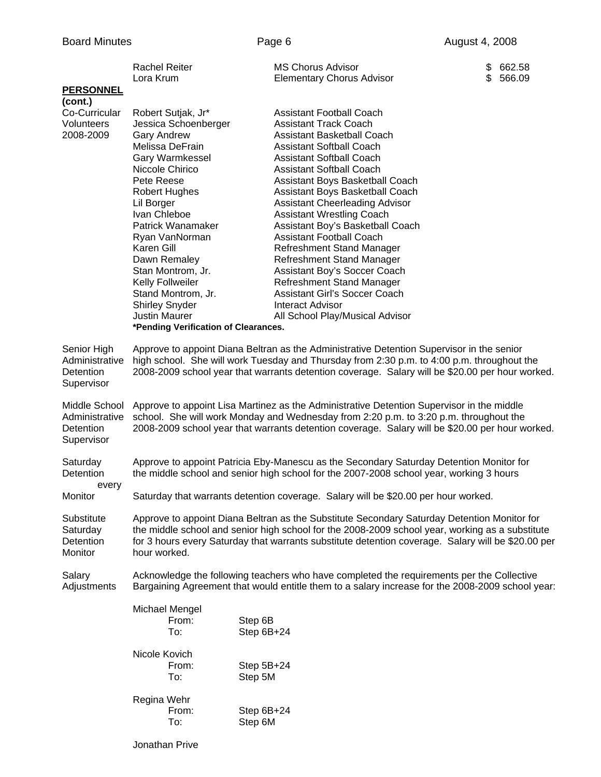| Co-Curricular<br>Robert Sutjak, Jr*<br><b>Assistant Football Coach</b><br>Volunteers<br>Jessica Schoenberger<br><b>Assistant Track Coach</b><br>2008-2009<br><b>Gary Andrew</b><br>Assistant Basketball Coach<br>Melissa DeFrain<br><b>Assistant Softball Coach</b><br>Gary Warmkessel<br><b>Assistant Softball Coach</b><br>Niccole Chirico<br><b>Assistant Softball Coach</b><br>Pete Reese<br>Assistant Boys Basketball Coach<br>Assistant Boys Basketball Coach<br>Robert Hughes<br><b>Assistant Cheerleading Advisor</b><br>Lil Borger<br>Ivan Chleboe<br><b>Assistant Wrestling Coach</b><br>Patrick Wanamaker<br>Assistant Boy's Basketball Coach<br><b>Assistant Football Coach</b><br>Ryan VanNorman<br>Karen Gill<br>Refreshment Stand Manager<br>Dawn Remaley<br>Refreshment Stand Manager<br>Assistant Boy's Soccer Coach<br>Stan Montrom, Jr.<br>Kelly Follweiler<br>Refreshment Stand Manager<br>Stand Montrom, Jr.<br><b>Assistant Girl's Soccer Coach</b><br><b>Shirley Snyder</b><br><b>Interact Advisor</b><br><b>Justin Maurer</b><br>All School Play/Musical Advisor<br>*Pending Verification of Clearances.<br>Approve to appoint Diana Beltran as the Administrative Detention Supervisor in the senior<br>high school. She will work Tuesday and Thursday from 2:30 p.m. to 4:00 p.m. throughout the<br>Administrative<br>2008-2009 school year that warrants detention coverage. Salary will be \$20.00 per hour worked.<br>Detention<br>Supervisor<br>Middle School<br>Approve to appoint Lisa Martinez as the Administrative Detention Supervisor in the middle<br>school. She will work Monday and Wednesday from 2:20 p.m. to 3:20 p.m. throughout the<br>2008-2009 school year that warrants detention coverage. Salary will be \$20.00 per hour worked.<br>Approve to appoint Patricia Eby-Manescu as the Secondary Saturday Detention Monitor for<br>Saturday<br>Detention<br>the middle school and senior high school for the 2007-2008 school year, working 3 hours<br>every<br>Saturday that warrants detention coverage. Salary will be \$20.00 per hour worked.<br>Monitor<br>Approve to appoint Diana Beltran as the Substitute Secondary Saturday Detention Monitor for<br>the middle school and senior high school for the 2008-2009 school year, working as a substitute<br>for 3 hours every Saturday that warrants substitute detention coverage. Salary will be \$20.00 per<br>hour worked.<br>Acknowledge the following teachers who have completed the requirements per the Collective<br>Salary<br>Bargaining Agreement that would entitle them to a salary increase for the 2008-2009 school year:<br>Adjustments<br>Michael Mengel<br>Step 6B<br>From:<br>To:<br>Step 6B+24<br>Nicole Kovich<br>From:<br>Step 5B+24<br>To:<br>Step 5M<br>Regina Wehr<br>From:<br>Step 6B+24<br>To:<br>Step 6M |                  | <b>Rachel Reiter</b><br>Lora Krum | <b>MS Chorus Advisor</b><br><b>Elementary Chorus Advisor</b> | \$<br>662.58<br>566.09<br>\$. |  |
|-----------------------------------------------------------------------------------------------------------------------------------------------------------------------------------------------------------------------------------------------------------------------------------------------------------------------------------------------------------------------------------------------------------------------------------------------------------------------------------------------------------------------------------------------------------------------------------------------------------------------------------------------------------------------------------------------------------------------------------------------------------------------------------------------------------------------------------------------------------------------------------------------------------------------------------------------------------------------------------------------------------------------------------------------------------------------------------------------------------------------------------------------------------------------------------------------------------------------------------------------------------------------------------------------------------------------------------------------------------------------------------------------------------------------------------------------------------------------------------------------------------------------------------------------------------------------------------------------------------------------------------------------------------------------------------------------------------------------------------------------------------------------------------------------------------------------------------------------------------------------------------------------------------------------------------------------------------------------------------------------------------------------------------------------------------------------------------------------------------------------------------------------------------------------------------------------------------------------------------------------------------------------------------------------------------------------------------------------------------------------------------------------------------------------------------------------------------------------------------------------------------------------------------------------------------------------------------------------------------------------------------------------------------------------------------------------------------------------------------------------------------------------------------------------------------------------------------------------|------------------|-----------------------------------|--------------------------------------------------------------|-------------------------------|--|
|                                                                                                                                                                                                                                                                                                                                                                                                                                                                                                                                                                                                                                                                                                                                                                                                                                                                                                                                                                                                                                                                                                                                                                                                                                                                                                                                                                                                                                                                                                                                                                                                                                                                                                                                                                                                                                                                                                                                                                                                                                                                                                                                                                                                                                                                                                                                                                                                                                                                                                                                                                                                                                                                                                                                                                                                                                               | <b>PERSONNEL</b> |                                   |                                                              |                               |  |
|                                                                                                                                                                                                                                                                                                                                                                                                                                                                                                                                                                                                                                                                                                                                                                                                                                                                                                                                                                                                                                                                                                                                                                                                                                                                                                                                                                                                                                                                                                                                                                                                                                                                                                                                                                                                                                                                                                                                                                                                                                                                                                                                                                                                                                                                                                                                                                                                                                                                                                                                                                                                                                                                                                                                                                                                                                               | (cont.)          |                                   |                                                              |                               |  |
|                                                                                                                                                                                                                                                                                                                                                                                                                                                                                                                                                                                                                                                                                                                                                                                                                                                                                                                                                                                                                                                                                                                                                                                                                                                                                                                                                                                                                                                                                                                                                                                                                                                                                                                                                                                                                                                                                                                                                                                                                                                                                                                                                                                                                                                                                                                                                                                                                                                                                                                                                                                                                                                                                                                                                                                                                                               |                  |                                   |                                                              |                               |  |
|                                                                                                                                                                                                                                                                                                                                                                                                                                                                                                                                                                                                                                                                                                                                                                                                                                                                                                                                                                                                                                                                                                                                                                                                                                                                                                                                                                                                                                                                                                                                                                                                                                                                                                                                                                                                                                                                                                                                                                                                                                                                                                                                                                                                                                                                                                                                                                                                                                                                                                                                                                                                                                                                                                                                                                                                                                               |                  |                                   |                                                              |                               |  |
|                                                                                                                                                                                                                                                                                                                                                                                                                                                                                                                                                                                                                                                                                                                                                                                                                                                                                                                                                                                                                                                                                                                                                                                                                                                                                                                                                                                                                                                                                                                                                                                                                                                                                                                                                                                                                                                                                                                                                                                                                                                                                                                                                                                                                                                                                                                                                                                                                                                                                                                                                                                                                                                                                                                                                                                                                                               |                  |                                   |                                                              |                               |  |
|                                                                                                                                                                                                                                                                                                                                                                                                                                                                                                                                                                                                                                                                                                                                                                                                                                                                                                                                                                                                                                                                                                                                                                                                                                                                                                                                                                                                                                                                                                                                                                                                                                                                                                                                                                                                                                                                                                                                                                                                                                                                                                                                                                                                                                                                                                                                                                                                                                                                                                                                                                                                                                                                                                                                                                                                                                               |                  |                                   |                                                              |                               |  |
|                                                                                                                                                                                                                                                                                                                                                                                                                                                                                                                                                                                                                                                                                                                                                                                                                                                                                                                                                                                                                                                                                                                                                                                                                                                                                                                                                                                                                                                                                                                                                                                                                                                                                                                                                                                                                                                                                                                                                                                                                                                                                                                                                                                                                                                                                                                                                                                                                                                                                                                                                                                                                                                                                                                                                                                                                                               |                  |                                   |                                                              |                               |  |
|                                                                                                                                                                                                                                                                                                                                                                                                                                                                                                                                                                                                                                                                                                                                                                                                                                                                                                                                                                                                                                                                                                                                                                                                                                                                                                                                                                                                                                                                                                                                                                                                                                                                                                                                                                                                                                                                                                                                                                                                                                                                                                                                                                                                                                                                                                                                                                                                                                                                                                                                                                                                                                                                                                                                                                                                                                               |                  |                                   |                                                              |                               |  |
|                                                                                                                                                                                                                                                                                                                                                                                                                                                                                                                                                                                                                                                                                                                                                                                                                                                                                                                                                                                                                                                                                                                                                                                                                                                                                                                                                                                                                                                                                                                                                                                                                                                                                                                                                                                                                                                                                                                                                                                                                                                                                                                                                                                                                                                                                                                                                                                                                                                                                                                                                                                                                                                                                                                                                                                                                                               |                  |                                   |                                                              |                               |  |
|                                                                                                                                                                                                                                                                                                                                                                                                                                                                                                                                                                                                                                                                                                                                                                                                                                                                                                                                                                                                                                                                                                                                                                                                                                                                                                                                                                                                                                                                                                                                                                                                                                                                                                                                                                                                                                                                                                                                                                                                                                                                                                                                                                                                                                                                                                                                                                                                                                                                                                                                                                                                                                                                                                                                                                                                                                               |                  |                                   |                                                              |                               |  |
|                                                                                                                                                                                                                                                                                                                                                                                                                                                                                                                                                                                                                                                                                                                                                                                                                                                                                                                                                                                                                                                                                                                                                                                                                                                                                                                                                                                                                                                                                                                                                                                                                                                                                                                                                                                                                                                                                                                                                                                                                                                                                                                                                                                                                                                                                                                                                                                                                                                                                                                                                                                                                                                                                                                                                                                                                                               |                  |                                   |                                                              |                               |  |
|                                                                                                                                                                                                                                                                                                                                                                                                                                                                                                                                                                                                                                                                                                                                                                                                                                                                                                                                                                                                                                                                                                                                                                                                                                                                                                                                                                                                                                                                                                                                                                                                                                                                                                                                                                                                                                                                                                                                                                                                                                                                                                                                                                                                                                                                                                                                                                                                                                                                                                                                                                                                                                                                                                                                                                                                                                               |                  |                                   |                                                              |                               |  |
|                                                                                                                                                                                                                                                                                                                                                                                                                                                                                                                                                                                                                                                                                                                                                                                                                                                                                                                                                                                                                                                                                                                                                                                                                                                                                                                                                                                                                                                                                                                                                                                                                                                                                                                                                                                                                                                                                                                                                                                                                                                                                                                                                                                                                                                                                                                                                                                                                                                                                                                                                                                                                                                                                                                                                                                                                                               |                  |                                   |                                                              |                               |  |
|                                                                                                                                                                                                                                                                                                                                                                                                                                                                                                                                                                                                                                                                                                                                                                                                                                                                                                                                                                                                                                                                                                                                                                                                                                                                                                                                                                                                                                                                                                                                                                                                                                                                                                                                                                                                                                                                                                                                                                                                                                                                                                                                                                                                                                                                                                                                                                                                                                                                                                                                                                                                                                                                                                                                                                                                                                               |                  |                                   |                                                              |                               |  |
|                                                                                                                                                                                                                                                                                                                                                                                                                                                                                                                                                                                                                                                                                                                                                                                                                                                                                                                                                                                                                                                                                                                                                                                                                                                                                                                                                                                                                                                                                                                                                                                                                                                                                                                                                                                                                                                                                                                                                                                                                                                                                                                                                                                                                                                                                                                                                                                                                                                                                                                                                                                                                                                                                                                                                                                                                                               |                  |                                   |                                                              |                               |  |
|                                                                                                                                                                                                                                                                                                                                                                                                                                                                                                                                                                                                                                                                                                                                                                                                                                                                                                                                                                                                                                                                                                                                                                                                                                                                                                                                                                                                                                                                                                                                                                                                                                                                                                                                                                                                                                                                                                                                                                                                                                                                                                                                                                                                                                                                                                                                                                                                                                                                                                                                                                                                                                                                                                                                                                                                                                               |                  |                                   |                                                              |                               |  |
|                                                                                                                                                                                                                                                                                                                                                                                                                                                                                                                                                                                                                                                                                                                                                                                                                                                                                                                                                                                                                                                                                                                                                                                                                                                                                                                                                                                                                                                                                                                                                                                                                                                                                                                                                                                                                                                                                                                                                                                                                                                                                                                                                                                                                                                                                                                                                                                                                                                                                                                                                                                                                                                                                                                                                                                                                                               |                  |                                   |                                                              |                               |  |
|                                                                                                                                                                                                                                                                                                                                                                                                                                                                                                                                                                                                                                                                                                                                                                                                                                                                                                                                                                                                                                                                                                                                                                                                                                                                                                                                                                                                                                                                                                                                                                                                                                                                                                                                                                                                                                                                                                                                                                                                                                                                                                                                                                                                                                                                                                                                                                                                                                                                                                                                                                                                                                                                                                                                                                                                                                               |                  |                                   |                                                              |                               |  |
|                                                                                                                                                                                                                                                                                                                                                                                                                                                                                                                                                                                                                                                                                                                                                                                                                                                                                                                                                                                                                                                                                                                                                                                                                                                                                                                                                                                                                                                                                                                                                                                                                                                                                                                                                                                                                                                                                                                                                                                                                                                                                                                                                                                                                                                                                                                                                                                                                                                                                                                                                                                                                                                                                                                                                                                                                                               |                  |                                   |                                                              |                               |  |
|                                                                                                                                                                                                                                                                                                                                                                                                                                                                                                                                                                                                                                                                                                                                                                                                                                                                                                                                                                                                                                                                                                                                                                                                                                                                                                                                                                                                                                                                                                                                                                                                                                                                                                                                                                                                                                                                                                                                                                                                                                                                                                                                                                                                                                                                                                                                                                                                                                                                                                                                                                                                                                                                                                                                                                                                                                               |                  |                                   |                                                              |                               |  |
|                                                                                                                                                                                                                                                                                                                                                                                                                                                                                                                                                                                                                                                                                                                                                                                                                                                                                                                                                                                                                                                                                                                                                                                                                                                                                                                                                                                                                                                                                                                                                                                                                                                                                                                                                                                                                                                                                                                                                                                                                                                                                                                                                                                                                                                                                                                                                                                                                                                                                                                                                                                                                                                                                                                                                                                                                                               |                  |                                   |                                                              |                               |  |
|                                                                                                                                                                                                                                                                                                                                                                                                                                                                                                                                                                                                                                                                                                                                                                                                                                                                                                                                                                                                                                                                                                                                                                                                                                                                                                                                                                                                                                                                                                                                                                                                                                                                                                                                                                                                                                                                                                                                                                                                                                                                                                                                                                                                                                                                                                                                                                                                                                                                                                                                                                                                                                                                                                                                                                                                                                               |                  |                                   |                                                              |                               |  |
|                                                                                                                                                                                                                                                                                                                                                                                                                                                                                                                                                                                                                                                                                                                                                                                                                                                                                                                                                                                                                                                                                                                                                                                                                                                                                                                                                                                                                                                                                                                                                                                                                                                                                                                                                                                                                                                                                                                                                                                                                                                                                                                                                                                                                                                                                                                                                                                                                                                                                                                                                                                                                                                                                                                                                                                                                                               | Senior High      |                                   |                                                              |                               |  |
|                                                                                                                                                                                                                                                                                                                                                                                                                                                                                                                                                                                                                                                                                                                                                                                                                                                                                                                                                                                                                                                                                                                                                                                                                                                                                                                                                                                                                                                                                                                                                                                                                                                                                                                                                                                                                                                                                                                                                                                                                                                                                                                                                                                                                                                                                                                                                                                                                                                                                                                                                                                                                                                                                                                                                                                                                                               |                  |                                   |                                                              |                               |  |
|                                                                                                                                                                                                                                                                                                                                                                                                                                                                                                                                                                                                                                                                                                                                                                                                                                                                                                                                                                                                                                                                                                                                                                                                                                                                                                                                                                                                                                                                                                                                                                                                                                                                                                                                                                                                                                                                                                                                                                                                                                                                                                                                                                                                                                                                                                                                                                                                                                                                                                                                                                                                                                                                                                                                                                                                                                               |                  |                                   |                                                              |                               |  |
|                                                                                                                                                                                                                                                                                                                                                                                                                                                                                                                                                                                                                                                                                                                                                                                                                                                                                                                                                                                                                                                                                                                                                                                                                                                                                                                                                                                                                                                                                                                                                                                                                                                                                                                                                                                                                                                                                                                                                                                                                                                                                                                                                                                                                                                                                                                                                                                                                                                                                                                                                                                                                                                                                                                                                                                                                                               |                  |                                   |                                                              |                               |  |
|                                                                                                                                                                                                                                                                                                                                                                                                                                                                                                                                                                                                                                                                                                                                                                                                                                                                                                                                                                                                                                                                                                                                                                                                                                                                                                                                                                                                                                                                                                                                                                                                                                                                                                                                                                                                                                                                                                                                                                                                                                                                                                                                                                                                                                                                                                                                                                                                                                                                                                                                                                                                                                                                                                                                                                                                                                               |                  |                                   |                                                              |                               |  |
|                                                                                                                                                                                                                                                                                                                                                                                                                                                                                                                                                                                                                                                                                                                                                                                                                                                                                                                                                                                                                                                                                                                                                                                                                                                                                                                                                                                                                                                                                                                                                                                                                                                                                                                                                                                                                                                                                                                                                                                                                                                                                                                                                                                                                                                                                                                                                                                                                                                                                                                                                                                                                                                                                                                                                                                                                                               | Administrative   |                                   |                                                              |                               |  |
|                                                                                                                                                                                                                                                                                                                                                                                                                                                                                                                                                                                                                                                                                                                                                                                                                                                                                                                                                                                                                                                                                                                                                                                                                                                                                                                                                                                                                                                                                                                                                                                                                                                                                                                                                                                                                                                                                                                                                                                                                                                                                                                                                                                                                                                                                                                                                                                                                                                                                                                                                                                                                                                                                                                                                                                                                                               | Detention        |                                   |                                                              |                               |  |
|                                                                                                                                                                                                                                                                                                                                                                                                                                                                                                                                                                                                                                                                                                                                                                                                                                                                                                                                                                                                                                                                                                                                                                                                                                                                                                                                                                                                                                                                                                                                                                                                                                                                                                                                                                                                                                                                                                                                                                                                                                                                                                                                                                                                                                                                                                                                                                                                                                                                                                                                                                                                                                                                                                                                                                                                                                               | Supervisor       |                                   |                                                              |                               |  |
|                                                                                                                                                                                                                                                                                                                                                                                                                                                                                                                                                                                                                                                                                                                                                                                                                                                                                                                                                                                                                                                                                                                                                                                                                                                                                                                                                                                                                                                                                                                                                                                                                                                                                                                                                                                                                                                                                                                                                                                                                                                                                                                                                                                                                                                                                                                                                                                                                                                                                                                                                                                                                                                                                                                                                                                                                                               |                  |                                   |                                                              |                               |  |
|                                                                                                                                                                                                                                                                                                                                                                                                                                                                                                                                                                                                                                                                                                                                                                                                                                                                                                                                                                                                                                                                                                                                                                                                                                                                                                                                                                                                                                                                                                                                                                                                                                                                                                                                                                                                                                                                                                                                                                                                                                                                                                                                                                                                                                                                                                                                                                                                                                                                                                                                                                                                                                                                                                                                                                                                                                               |                  |                                   |                                                              |                               |  |
|                                                                                                                                                                                                                                                                                                                                                                                                                                                                                                                                                                                                                                                                                                                                                                                                                                                                                                                                                                                                                                                                                                                                                                                                                                                                                                                                                                                                                                                                                                                                                                                                                                                                                                                                                                                                                                                                                                                                                                                                                                                                                                                                                                                                                                                                                                                                                                                                                                                                                                                                                                                                                                                                                                                                                                                                                                               |                  |                                   |                                                              |                               |  |
|                                                                                                                                                                                                                                                                                                                                                                                                                                                                                                                                                                                                                                                                                                                                                                                                                                                                                                                                                                                                                                                                                                                                                                                                                                                                                                                                                                                                                                                                                                                                                                                                                                                                                                                                                                                                                                                                                                                                                                                                                                                                                                                                                                                                                                                                                                                                                                                                                                                                                                                                                                                                                                                                                                                                                                                                                                               |                  |                                   |                                                              |                               |  |
|                                                                                                                                                                                                                                                                                                                                                                                                                                                                                                                                                                                                                                                                                                                                                                                                                                                                                                                                                                                                                                                                                                                                                                                                                                                                                                                                                                                                                                                                                                                                                                                                                                                                                                                                                                                                                                                                                                                                                                                                                                                                                                                                                                                                                                                                                                                                                                                                                                                                                                                                                                                                                                                                                                                                                                                                                                               |                  |                                   |                                                              |                               |  |
|                                                                                                                                                                                                                                                                                                                                                                                                                                                                                                                                                                                                                                                                                                                                                                                                                                                                                                                                                                                                                                                                                                                                                                                                                                                                                                                                                                                                                                                                                                                                                                                                                                                                                                                                                                                                                                                                                                                                                                                                                                                                                                                                                                                                                                                                                                                                                                                                                                                                                                                                                                                                                                                                                                                                                                                                                                               | Substitute       |                                   |                                                              |                               |  |
|                                                                                                                                                                                                                                                                                                                                                                                                                                                                                                                                                                                                                                                                                                                                                                                                                                                                                                                                                                                                                                                                                                                                                                                                                                                                                                                                                                                                                                                                                                                                                                                                                                                                                                                                                                                                                                                                                                                                                                                                                                                                                                                                                                                                                                                                                                                                                                                                                                                                                                                                                                                                                                                                                                                                                                                                                                               | Saturday         |                                   |                                                              |                               |  |
|                                                                                                                                                                                                                                                                                                                                                                                                                                                                                                                                                                                                                                                                                                                                                                                                                                                                                                                                                                                                                                                                                                                                                                                                                                                                                                                                                                                                                                                                                                                                                                                                                                                                                                                                                                                                                                                                                                                                                                                                                                                                                                                                                                                                                                                                                                                                                                                                                                                                                                                                                                                                                                                                                                                                                                                                                                               | Detention        |                                   |                                                              |                               |  |
|                                                                                                                                                                                                                                                                                                                                                                                                                                                                                                                                                                                                                                                                                                                                                                                                                                                                                                                                                                                                                                                                                                                                                                                                                                                                                                                                                                                                                                                                                                                                                                                                                                                                                                                                                                                                                                                                                                                                                                                                                                                                                                                                                                                                                                                                                                                                                                                                                                                                                                                                                                                                                                                                                                                                                                                                                                               | Monitor          |                                   |                                                              |                               |  |
|                                                                                                                                                                                                                                                                                                                                                                                                                                                                                                                                                                                                                                                                                                                                                                                                                                                                                                                                                                                                                                                                                                                                                                                                                                                                                                                                                                                                                                                                                                                                                                                                                                                                                                                                                                                                                                                                                                                                                                                                                                                                                                                                                                                                                                                                                                                                                                                                                                                                                                                                                                                                                                                                                                                                                                                                                                               |                  |                                   |                                                              |                               |  |
|                                                                                                                                                                                                                                                                                                                                                                                                                                                                                                                                                                                                                                                                                                                                                                                                                                                                                                                                                                                                                                                                                                                                                                                                                                                                                                                                                                                                                                                                                                                                                                                                                                                                                                                                                                                                                                                                                                                                                                                                                                                                                                                                                                                                                                                                                                                                                                                                                                                                                                                                                                                                                                                                                                                                                                                                                                               |                  |                                   |                                                              |                               |  |
|                                                                                                                                                                                                                                                                                                                                                                                                                                                                                                                                                                                                                                                                                                                                                                                                                                                                                                                                                                                                                                                                                                                                                                                                                                                                                                                                                                                                                                                                                                                                                                                                                                                                                                                                                                                                                                                                                                                                                                                                                                                                                                                                                                                                                                                                                                                                                                                                                                                                                                                                                                                                                                                                                                                                                                                                                                               |                  |                                   |                                                              |                               |  |
|                                                                                                                                                                                                                                                                                                                                                                                                                                                                                                                                                                                                                                                                                                                                                                                                                                                                                                                                                                                                                                                                                                                                                                                                                                                                                                                                                                                                                                                                                                                                                                                                                                                                                                                                                                                                                                                                                                                                                                                                                                                                                                                                                                                                                                                                                                                                                                                                                                                                                                                                                                                                                                                                                                                                                                                                                                               |                  |                                   |                                                              |                               |  |
|                                                                                                                                                                                                                                                                                                                                                                                                                                                                                                                                                                                                                                                                                                                                                                                                                                                                                                                                                                                                                                                                                                                                                                                                                                                                                                                                                                                                                                                                                                                                                                                                                                                                                                                                                                                                                                                                                                                                                                                                                                                                                                                                                                                                                                                                                                                                                                                                                                                                                                                                                                                                                                                                                                                                                                                                                                               |                  |                                   |                                                              |                               |  |
|                                                                                                                                                                                                                                                                                                                                                                                                                                                                                                                                                                                                                                                                                                                                                                                                                                                                                                                                                                                                                                                                                                                                                                                                                                                                                                                                                                                                                                                                                                                                                                                                                                                                                                                                                                                                                                                                                                                                                                                                                                                                                                                                                                                                                                                                                                                                                                                                                                                                                                                                                                                                                                                                                                                                                                                                                                               |                  |                                   |                                                              |                               |  |
|                                                                                                                                                                                                                                                                                                                                                                                                                                                                                                                                                                                                                                                                                                                                                                                                                                                                                                                                                                                                                                                                                                                                                                                                                                                                                                                                                                                                                                                                                                                                                                                                                                                                                                                                                                                                                                                                                                                                                                                                                                                                                                                                                                                                                                                                                                                                                                                                                                                                                                                                                                                                                                                                                                                                                                                                                                               |                  |                                   |                                                              |                               |  |
|                                                                                                                                                                                                                                                                                                                                                                                                                                                                                                                                                                                                                                                                                                                                                                                                                                                                                                                                                                                                                                                                                                                                                                                                                                                                                                                                                                                                                                                                                                                                                                                                                                                                                                                                                                                                                                                                                                                                                                                                                                                                                                                                                                                                                                                                                                                                                                                                                                                                                                                                                                                                                                                                                                                                                                                                                                               |                  |                                   |                                                              |                               |  |
|                                                                                                                                                                                                                                                                                                                                                                                                                                                                                                                                                                                                                                                                                                                                                                                                                                                                                                                                                                                                                                                                                                                                                                                                                                                                                                                                                                                                                                                                                                                                                                                                                                                                                                                                                                                                                                                                                                                                                                                                                                                                                                                                                                                                                                                                                                                                                                                                                                                                                                                                                                                                                                                                                                                                                                                                                                               |                  |                                   |                                                              |                               |  |
|                                                                                                                                                                                                                                                                                                                                                                                                                                                                                                                                                                                                                                                                                                                                                                                                                                                                                                                                                                                                                                                                                                                                                                                                                                                                                                                                                                                                                                                                                                                                                                                                                                                                                                                                                                                                                                                                                                                                                                                                                                                                                                                                                                                                                                                                                                                                                                                                                                                                                                                                                                                                                                                                                                                                                                                                                                               |                  |                                   |                                                              |                               |  |
|                                                                                                                                                                                                                                                                                                                                                                                                                                                                                                                                                                                                                                                                                                                                                                                                                                                                                                                                                                                                                                                                                                                                                                                                                                                                                                                                                                                                                                                                                                                                                                                                                                                                                                                                                                                                                                                                                                                                                                                                                                                                                                                                                                                                                                                                                                                                                                                                                                                                                                                                                                                                                                                                                                                                                                                                                                               |                  |                                   |                                                              |                               |  |
|                                                                                                                                                                                                                                                                                                                                                                                                                                                                                                                                                                                                                                                                                                                                                                                                                                                                                                                                                                                                                                                                                                                                                                                                                                                                                                                                                                                                                                                                                                                                                                                                                                                                                                                                                                                                                                                                                                                                                                                                                                                                                                                                                                                                                                                                                                                                                                                                                                                                                                                                                                                                                                                                                                                                                                                                                                               |                  |                                   |                                                              |                               |  |
|                                                                                                                                                                                                                                                                                                                                                                                                                                                                                                                                                                                                                                                                                                                                                                                                                                                                                                                                                                                                                                                                                                                                                                                                                                                                                                                                                                                                                                                                                                                                                                                                                                                                                                                                                                                                                                                                                                                                                                                                                                                                                                                                                                                                                                                                                                                                                                                                                                                                                                                                                                                                                                                                                                                                                                                                                                               |                  |                                   |                                                              |                               |  |
|                                                                                                                                                                                                                                                                                                                                                                                                                                                                                                                                                                                                                                                                                                                                                                                                                                                                                                                                                                                                                                                                                                                                                                                                                                                                                                                                                                                                                                                                                                                                                                                                                                                                                                                                                                                                                                                                                                                                                                                                                                                                                                                                                                                                                                                                                                                                                                                                                                                                                                                                                                                                                                                                                                                                                                                                                                               |                  |                                   |                                                              |                               |  |

Jonathan Prive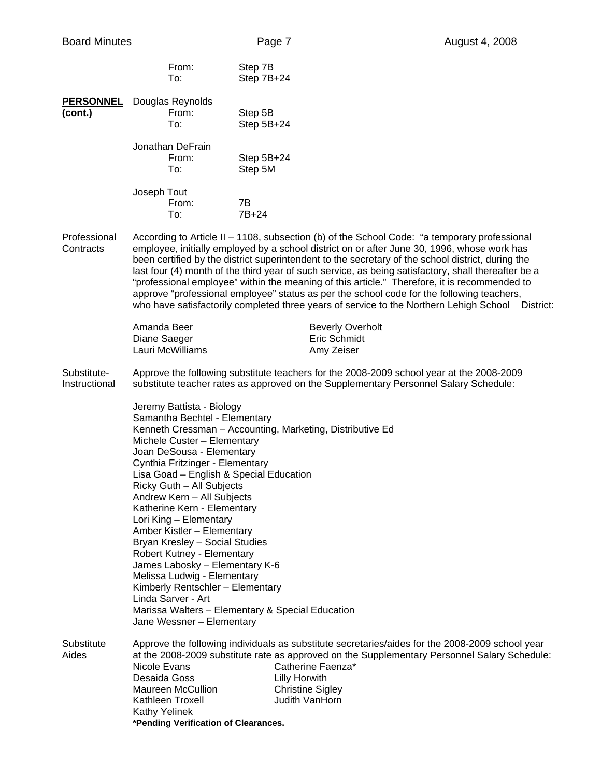|                              | From:<br>To:                                                                                                                                                                                                                                                                                                                                                                                                                                                                                                                                                                   | Step 7B<br>Step 7B+24                                                                                                                                                                                                                                                                                                                                                                                                                                                                                                                                                                                                                                                                                    |
|------------------------------|--------------------------------------------------------------------------------------------------------------------------------------------------------------------------------------------------------------------------------------------------------------------------------------------------------------------------------------------------------------------------------------------------------------------------------------------------------------------------------------------------------------------------------------------------------------------------------|----------------------------------------------------------------------------------------------------------------------------------------------------------------------------------------------------------------------------------------------------------------------------------------------------------------------------------------------------------------------------------------------------------------------------------------------------------------------------------------------------------------------------------------------------------------------------------------------------------------------------------------------------------------------------------------------------------|
| (cont.)                      | <b>PERSONNEL</b> Douglas Reynolds<br>From:<br>To:                                                                                                                                                                                                                                                                                                                                                                                                                                                                                                                              | Step 5B<br>Step 5B+24                                                                                                                                                                                                                                                                                                                                                                                                                                                                                                                                                                                                                                                                                    |
|                              | Jonathan DeFrain<br>From:<br>To:                                                                                                                                                                                                                                                                                                                                                                                                                                                                                                                                               | Step 5B+24<br>Step 5M                                                                                                                                                                                                                                                                                                                                                                                                                                                                                                                                                                                                                                                                                    |
|                              | Joseph Tout<br>From:<br>To:                                                                                                                                                                                                                                                                                                                                                                                                                                                                                                                                                    | 7B<br>7B+24                                                                                                                                                                                                                                                                                                                                                                                                                                                                                                                                                                                                                                                                                              |
| Professional<br>Contracts    |                                                                                                                                                                                                                                                                                                                                                                                                                                                                                                                                                                                | According to Article II - 1108, subsection (b) of the School Code: "a temporary professional<br>employee, initially employed by a school district on or after June 30, 1996, whose work has<br>been certified by the district superintendent to the secretary of the school district, during the<br>last four (4) month of the third year of such service, as being satisfactory, shall thereafter be a<br>"professional employee" within the meaning of this article." Therefore, it is recommended to<br>approve "professional employee" status as per the school code for the following teachers,<br>who have satisfactorily completed three years of service to the Northern Lehigh School District: |
|                              | Amanda Beer<br>Diane Saeger<br>Lauri McWilliams                                                                                                                                                                                                                                                                                                                                                                                                                                                                                                                                | <b>Beverly Overholt</b><br>Eric Schmidt<br>Amy Zeiser                                                                                                                                                                                                                                                                                                                                                                                                                                                                                                                                                                                                                                                    |
| Substitute-<br>Instructional |                                                                                                                                                                                                                                                                                                                                                                                                                                                                                                                                                                                | Approve the following substitute teachers for the 2008-2009 school year at the 2008-2009<br>substitute teacher rates as approved on the Supplementary Personnel Salary Schedule:                                                                                                                                                                                                                                                                                                                                                                                                                                                                                                                         |
|                              | Jeremy Battista - Biology<br>Samantha Bechtel - Elementary<br>Michele Custer - Elementary<br>Joan DeSousa - Elementary<br>Cynthia Fritzinger - Elementary<br>Lisa Goad - English & Special Education<br>Ricky Guth - All Subjects<br>Andrew Kern - All Subjects<br>Katherine Kern - Elementary<br>Lori King - Elementary<br>Amber Kistler - Elementary<br>Bryan Kresley - Social Studies<br>Robert Kutney - Elementary<br>James Labosky - Elementary K-6<br>Melissa Ludwig - Elementary<br>Kimberly Rentschler - Elementary<br>Linda Sarver - Art<br>Jane Wessner - Elementary | Kenneth Cressman - Accounting, Marketing, Distributive Ed<br>Marissa Walters - Elementary & Special Education                                                                                                                                                                                                                                                                                                                                                                                                                                                                                                                                                                                            |
| Substitute<br>Aides          | Nicole Evans<br>Desaida Goss<br>Maureen McCullion<br>Kathleen Troxell<br><b>Kathy Yelinek</b><br>*Pending Verification of Clearances.                                                                                                                                                                                                                                                                                                                                                                                                                                          | Approve the following individuals as substitute secretaries/aides for the 2008-2009 school year<br>at the 2008-2009 substitute rate as approved on the Supplementary Personnel Salary Schedule:<br>Catherine Faenza*<br><b>Lilly Horwith</b><br><b>Christine Sigley</b><br>Judith VanHorn                                                                                                                                                                                                                                                                                                                                                                                                                |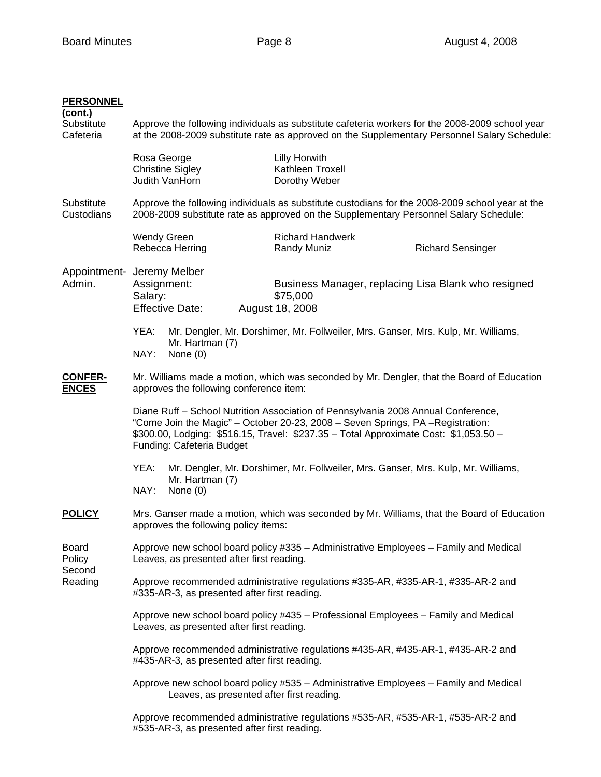# **PERSONNEL (cont.)**  Substitute Approve the following individuals as substitute cafeteria workers for the 2008-2009 school year Cafeteria at the 2008-2009 substitute rate as approved on the Supplementary Personnel Salary Schedule: Rosa George **Lilly Horwith** Christine Sigley Kathleen Troxell Judith VanHorn Dorothy Weber Substitute Approve the following individuals as substitute custodians for the 2008-2009 school year at the Custodians 2008-2009 substitute rate as approved on the Supplementary Personnel Salary Schedule: Wendy Green Richard Handwerk Rebecca Herring **Randy Muniz** Randy Muniz Richard Sensinger Appointment- Jeremy Melber Admin. Assignment: Business Manager, replacing Lisa Blank who resigned Salary: \$75,000 Effective Date: August 18, 2008 YEA: Mr. Dengler, Mr. Dorshimer, Mr. Follweiler, Mrs. Ganser, Mrs. Kulp, Mr. Williams, Mr. Hartman (7) NAY: None (0) **CONFER-** Mr. Williams made a motion, which was seconded by Mr. Dengler, that the Board of Education **ENCES** approves the following conference item: Diane Ruff – School Nutrition Association of Pennsylvania 2008 Annual Conference, "Come Join the Magic" – October 20-23, 2008 – Seven Springs, PA –Registration: \$300.00, Lodging: \$516.15, Travel: \$237.35 – Total Approximate Cost: \$1,053.50 – Funding: Cafeteria Budget YEA: Mr. Dengler, Mr. Dorshimer, Mr. Follweiler, Mrs. Ganser, Mrs. Kulp, Mr. Williams, Mr. Hartman (7) NAY: None (0) **POLICY** Mrs. Ganser made a motion, which was seconded by Mr. Williams, that the Board of Education approves the following policy items: Board Approve new school board policy #335 – Administrative Employees – Family and Medical Policy Leaves, as presented after first reading. Second Reading Approve recommended administrative regulations #335-AR, #335-AR-1, #335-AR-2 and #335-AR-3, as presented after first reading. Approve new school board policy #435 – Professional Employees – Family and Medical Leaves, as presented after first reading. Approve recommended administrative regulations #435-AR, #435-AR-1, #435-AR-2 and #435-AR-3, as presented after first reading. Approve new school board policy #535 – Administrative Employees – Family and Medical Leaves, as presented after first reading. Approve recommended administrative regulations #535-AR, #535-AR-1, #535-AR-2 and

#535-AR-3, as presented after first reading.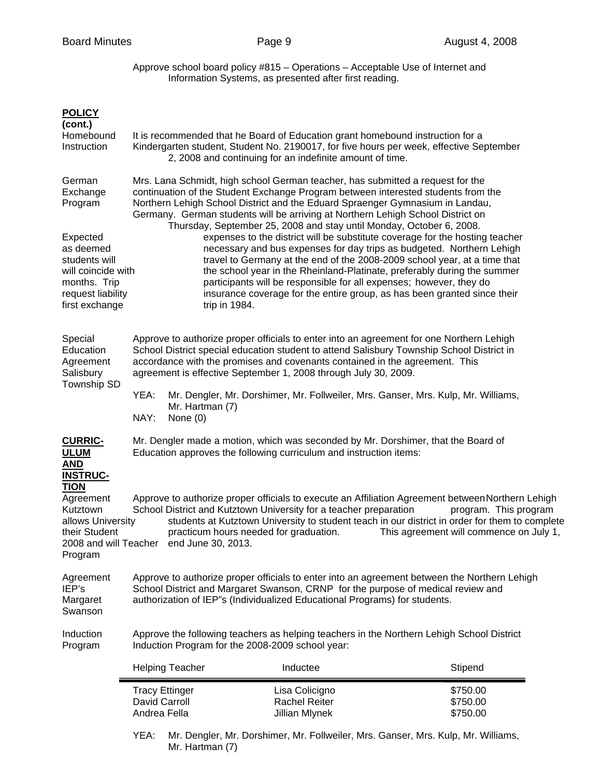Approve school board policy #815 – Operations – Acceptable Use of Internet and Information Systems, as presented after first reading.

|                                                                                                                                                      | David Carroll<br>Andrea Fella                                                                                                                                                                                                                                                                                                                                                                                                                                                                                                                                                                                                                                                                                                                                                                                                                                                                         | <b>Tracy Ettinger</b>                                                                                                                                                                                                                 | Lisa Colicigno<br><b>Rachel Reiter</b><br>Jillian Mlynek                                                                                                                                                                                                                                                                                | \$750.00<br>\$750.00<br>\$750.00                                                                                                                                                                                                                                        |  |
|------------------------------------------------------------------------------------------------------------------------------------------------------|-------------------------------------------------------------------------------------------------------------------------------------------------------------------------------------------------------------------------------------------------------------------------------------------------------------------------------------------------------------------------------------------------------------------------------------------------------------------------------------------------------------------------------------------------------------------------------------------------------------------------------------------------------------------------------------------------------------------------------------------------------------------------------------------------------------------------------------------------------------------------------------------------------|---------------------------------------------------------------------------------------------------------------------------------------------------------------------------------------------------------------------------------------|-----------------------------------------------------------------------------------------------------------------------------------------------------------------------------------------------------------------------------------------------------------------------------------------------------------------------------------------|-------------------------------------------------------------------------------------------------------------------------------------------------------------------------------------------------------------------------------------------------------------------------|--|
|                                                                                                                                                      |                                                                                                                                                                                                                                                                                                                                                                                                                                                                                                                                                                                                                                                                                                                                                                                                                                                                                                       | <b>Helping Teacher</b>                                                                                                                                                                                                                | Inductee                                                                                                                                                                                                                                                                                                                                | Stipend                                                                                                                                                                                                                                                                 |  |
| Induction<br>Program                                                                                                                                 | Approve the following teachers as helping teachers in the Northern Lehigh School District<br>Induction Program for the 2008-2009 school year:                                                                                                                                                                                                                                                                                                                                                                                                                                                                                                                                                                                                                                                                                                                                                         |                                                                                                                                                                                                                                       |                                                                                                                                                                                                                                                                                                                                         |                                                                                                                                                                                                                                                                         |  |
| Agreement<br>IEP's<br>Margaret<br>Swanson                                                                                                            | Approve to authorize proper officials to enter into an agreement between the Northern Lehigh<br>School District and Margaret Swanson, CRNP for the purpose of medical review and<br>authorization of IEP"s (Individualized Educational Programs) for students.                                                                                                                                                                                                                                                                                                                                                                                                                                                                                                                                                                                                                                        |                                                                                                                                                                                                                                       |                                                                                                                                                                                                                                                                                                                                         |                                                                                                                                                                                                                                                                         |  |
| <b>TION</b><br>Agreement<br>Kutztown<br>allows University<br>their Student<br>2008 and will Teacher<br>Program                                       |                                                                                                                                                                                                                                                                                                                                                                                                                                                                                                                                                                                                                                                                                                                                                                                                                                                                                                       | end June 30, 2013.                                                                                                                                                                                                                    | School District and Kutztown University for a teacher preparation<br>practicum hours needed for graduation.                                                                                                                                                                                                                             | Approve to authorize proper officials to execute an Affiliation Agreement between Northern Lehigh<br>program. This program<br>students at Kutztown University to student teach in our district in order for them to complete<br>This agreement will commence on July 1, |  |
| <b>CURRIC-</b><br><b>ULUM</b><br><b>AND</b><br><b>INSTRUC-</b>                                                                                       |                                                                                                                                                                                                                                                                                                                                                                                                                                                                                                                                                                                                                                                                                                                                                                                                                                                                                                       |                                                                                                                                                                                                                                       | Mr. Dengler made a motion, which was seconded by Mr. Dorshimer, that the Board of<br>Education approves the following curriculum and instruction items:                                                                                                                                                                                 |                                                                                                                                                                                                                                                                         |  |
|                                                                                                                                                      | YEA:<br>NAY:                                                                                                                                                                                                                                                                                                                                                                                                                                                                                                                                                                                                                                                                                                                                                                                                                                                                                          | Mr. Hartman (7)<br>None (0)                                                                                                                                                                                                           | Mr. Dengler, Mr. Dorshimer, Mr. Follweiler, Mrs. Ganser, Mrs. Kulp, Mr. Williams,                                                                                                                                                                                                                                                       |                                                                                                                                                                                                                                                                         |  |
| Special<br>Education<br>Agreement<br>Salisbury<br>Township SD                                                                                        |                                                                                                                                                                                                                                                                                                                                                                                                                                                                                                                                                                                                                                                                                                                                                                                                                                                                                                       |                                                                                                                                                                                                                                       | Approve to authorize proper officials to enter into an agreement for one Northern Lehigh<br>School District special education student to attend Salisbury Township School District in<br>accordance with the promises and covenants contained in the agreement. This<br>agreement is effective September 1, 2008 through July 30, 2009. |                                                                                                                                                                                                                                                                         |  |
| German<br>Exchange<br>Program<br>Expected<br>as deemed<br>students will<br>will coincide with<br>months. Trip<br>request liability<br>first exchange | Mrs. Lana Schmidt, high school German teacher, has submitted a request for the<br>continuation of the Student Exchange Program between interested students from the<br>Northern Lehigh School District and the Eduard Spraenger Gymnasium in Landau,<br>Germany. German students will be arriving at Northern Lehigh School District on<br>Thursday, September 25, 2008 and stay until Monday, October 6, 2008.<br>expenses to the district will be substitute coverage for the hosting teacher<br>necessary and bus expenses for day trips as budgeted. Northern Lehigh<br>travel to Germany at the end of the 2008-2009 school year, at a time that<br>the school year in the Rheinland-Platinate, preferably during the summer<br>participants will be responsible for all expenses; however, they do<br>insurance coverage for the entire group, as has been granted since their<br>trip in 1984. |                                                                                                                                                                                                                                       |                                                                                                                                                                                                                                                                                                                                         |                                                                                                                                                                                                                                                                         |  |
| <b>POLICY</b><br>(cont.)<br>Homebound<br>Instruction                                                                                                 |                                                                                                                                                                                                                                                                                                                                                                                                                                                                                                                                                                                                                                                                                                                                                                                                                                                                                                       | It is recommended that he Board of Education grant homebound instruction for a<br>Kindergarten student, Student No. 2190017, for five hours per week, effective September<br>2, 2008 and continuing for an indefinite amount of time. |                                                                                                                                                                                                                                                                                                                                         |                                                                                                                                                                                                                                                                         |  |

 YEA: Mr. Dengler, Mr. Dorshimer, Mr. Follweiler, Mrs. Ganser, Mrs. Kulp, Mr. Williams, Mr. Hartman (7)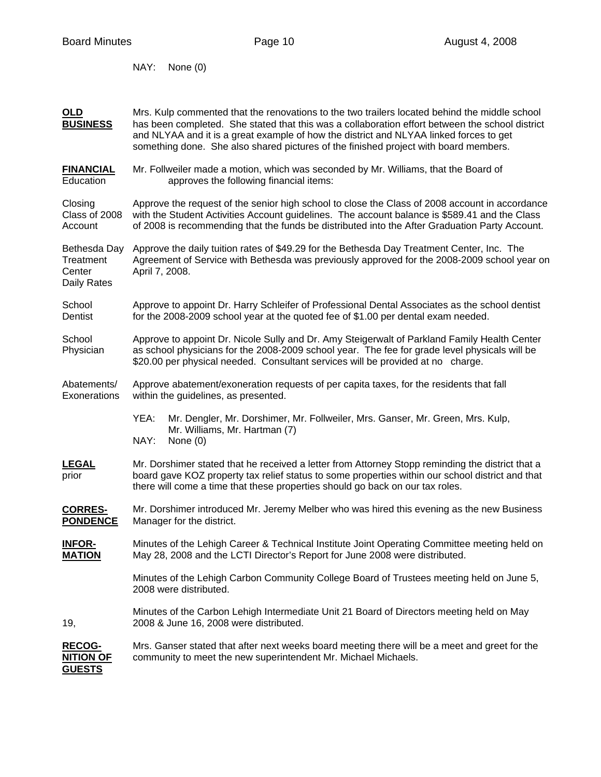NAY: None (0)

| OLD<br><b>BUSINESS</b>                             | Mrs. Kulp commented that the renovations to the two trailers located behind the middle school<br>has been completed. She stated that this was a collaboration effort between the school district<br>and NLYAA and it is a great example of how the district and NLYAA linked forces to get<br>something done. She also shared pictures of the finished project with board members. |  |  |  |  |
|----------------------------------------------------|------------------------------------------------------------------------------------------------------------------------------------------------------------------------------------------------------------------------------------------------------------------------------------------------------------------------------------------------------------------------------------|--|--|--|--|
| <b>FINANCIAL</b><br>Education                      | Mr. Follweiler made a motion, which was seconded by Mr. Williams, that the Board of<br>approves the following financial items:                                                                                                                                                                                                                                                     |  |  |  |  |
| Closing<br>Class of 2008<br>Account                | Approve the request of the senior high school to close the Class of 2008 account in accordance<br>with the Student Activities Account guidelines. The account balance is \$589.41 and the Class<br>of 2008 is recommending that the funds be distributed into the After Graduation Party Account.                                                                                  |  |  |  |  |
| Bethesda Day<br>Treatment<br>Center<br>Daily Rates | Approve the daily tuition rates of \$49.29 for the Bethesda Day Treatment Center, Inc. The<br>Agreement of Service with Bethesda was previously approved for the 2008-2009 school year on<br>April 7, 2008.                                                                                                                                                                        |  |  |  |  |
| School<br>Dentist                                  | Approve to appoint Dr. Harry Schleifer of Professional Dental Associates as the school dentist<br>for the 2008-2009 school year at the quoted fee of \$1.00 per dental exam needed.                                                                                                                                                                                                |  |  |  |  |
| School<br>Physician                                | Approve to appoint Dr. Nicole Sully and Dr. Amy Steigerwalt of Parkland Family Health Center<br>as school physicians for the 2008-2009 school year. The fee for grade level physicals will be<br>\$20.00 per physical needed. Consultant services will be provided at no charge.                                                                                                   |  |  |  |  |
| Abatements/<br>Exonerations                        | Approve abatement/exoneration requests of per capita taxes, for the residents that fall<br>within the guidelines, as presented.                                                                                                                                                                                                                                                    |  |  |  |  |
|                                                    | YEA:<br>Mr. Dengler, Mr. Dorshimer, Mr. Follweiler, Mrs. Ganser, Mr. Green, Mrs. Kulp,<br>Mr. Williams, Mr. Hartman (7)<br>NAY:<br>None $(0)$                                                                                                                                                                                                                                      |  |  |  |  |
| <b>LEGAL</b><br>prior                              | Mr. Dorshimer stated that he received a letter from Attorney Stopp reminding the district that a<br>board gave KOZ property tax relief status to some properties within our school district and that<br>there will come a time that these properties should go back on our tax roles.                                                                                              |  |  |  |  |
| <b>CORRES-</b><br><b>PONDENCE</b>                  | Mr. Dorshimer introduced Mr. Jeremy Melber who was hired this evening as the new Business<br>Manager for the district.                                                                                                                                                                                                                                                             |  |  |  |  |
| <b>INFOR-</b><br><b>MATION</b>                     | Minutes of the Lehigh Career & Technical Institute Joint Operating Committee meeting held on<br>May 28, 2008 and the LCTI Director's Report for June 2008 were distributed.                                                                                                                                                                                                        |  |  |  |  |
|                                                    | Minutes of the Lehigh Carbon Community College Board of Trustees meeting held on June 5,<br>2008 were distributed.                                                                                                                                                                                                                                                                 |  |  |  |  |
| 19,                                                | Minutes of the Carbon Lehigh Intermediate Unit 21 Board of Directors meeting held on May<br>2008 & June 16, 2008 were distributed.                                                                                                                                                                                                                                                 |  |  |  |  |
| <b>RECOG-</b><br><b>NITION OF</b><br><b>GUESTS</b> | Mrs. Ganser stated that after next weeks board meeting there will be a meet and greet for the<br>community to meet the new superintendent Mr. Michael Michaels.                                                                                                                                                                                                                    |  |  |  |  |